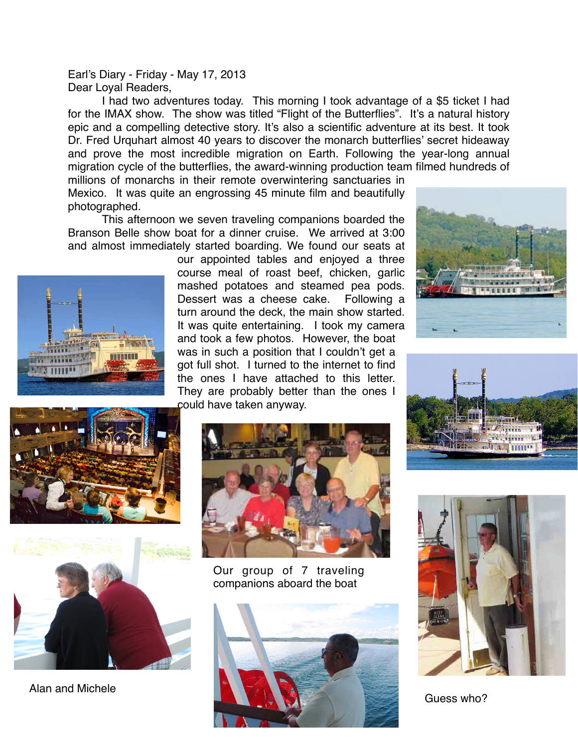Earl's Diary - Friday - May 17, 2013 Dear Loyal Readers,

I had two adventures today. This morning I took advantage of a \$5 ticket I had for the IMAX show. The show was titled "Flight of the Butterflies". It's a natural history epic and a compelling detective story. It's also a scientific adventure at its best. It took Dr. Fred Urquhart almost 40 years to discover the monarch butterflies' secret hideaway and prove the most incredible migration on Earth. Following the year-long annual migration cycle of the butterflies, the award-winning production team filmed hundreds of millions of monarchs in their remote overwintering sanctuaries in

Mexico. It was quite an engrossing 45 minute film and beautifully photographed.

This afternoon we seven traveling companions boarded the Branson Belle show boat for a dinner cruise. We arrived at 3:00 and almost immediately started boarding. We found our seats at



our appointed tables and enjoyed a three course meal of roast beef, chicken, garlic mashed potatoes and steamed pea pods. Dessert was a cheese cake. Following a turn around the deck, the main show started. It was quite entertaining. I took my camera and took a few photos. However, the boat was in such a position that I couldn't get a got full shot. I turned to the internet to find the ones I have attached to this letter. They are probably better than the ones I could have taken anyway.







Our group of 7 traveling companions aboard the boat





Guess who?

Alan and Michele